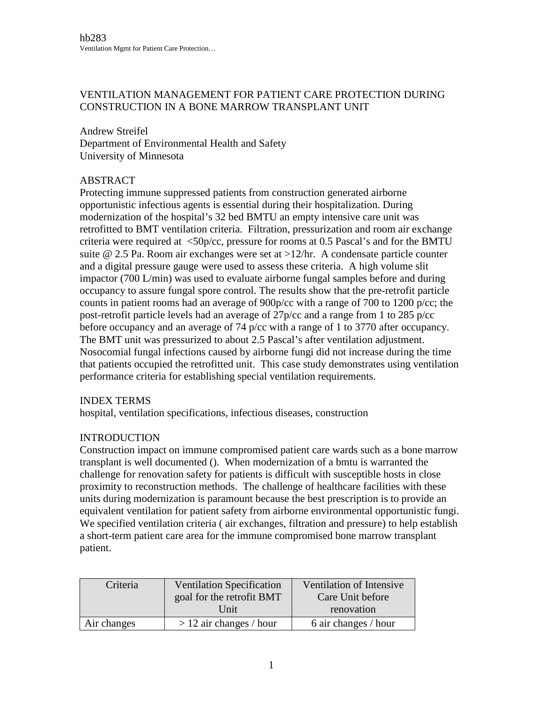## VENTILATION MANAGEMENT FOR PATIENT CARE PROTECTION DURING CONSTRUCTION IN A BONE MARROW TRANSPLANT UNIT

Andrew Streifel Department of Environmental Health and Safety University of Minnesota

## ABSTRACT

Protecting immune suppressed patients from construction generated airborne opportunistic infectious agents is essential during their hospitalization. During modernization of the hospital's 32 bed BMTU an empty intensive care unit was retrofitted to BMT ventilation criteria. Filtration, pressurization and room air exchange criteria were required at  $\langle 50p/cc$ , pressure for rooms at 0.5 Pascal's and for the BMTU suite @ 2.5 Pa. Room air exchanges were set at >12/hr. A condensate particle counter and a digital pressure gauge were used to assess these criteria. A high volume slit impactor (700 L/min) was used to evaluate airborne fungal samples before and during occupancy to assure fungal spore control. The results show that the pre-retrofit particle counts in patient rooms had an average of 900p/cc with a range of 700 to 1200 p/cc; the post-retrofit particle levels had an average of 27p/cc and a range from 1 to 285 p/cc before occupancy and an average of 74 p/cc with a range of 1 to 3770 after occupancy. The BMT unit was pressurized to about 2.5 Pascal's after ventilation adjustment. Nosocomial fungal infections caused by airborne fungi did not increase during the time that patients occupied the retrofitted unit. This case study demonstrates using ventilation performance criteria for establishing special ventilation requirements.

### INDEX TERMS

hospital, ventilation specifications, infectious diseases, construction

### **INTRODUCTION**

Construction impact on immune compromised patient care wards such as a bone marrow transplant is well documented (). When modernization of a bmtu is warranted the challenge for renovation safety for patients is difficult with susceptible hosts in close proximity to reconstruction methods. The challenge of healthcare facilities with these units during modernization is paramount because the best prescription is to provide an equivalent ventilation for patient safety from airborne environmental opportunistic fungi. We specified ventilation criteria ( air exchanges, filtration and pressure) to help establish a short-term patient care area for the immune compromised bone marrow transplant patient.

| Criteria    | <b>Ventilation Specification</b> | Ventilation of Intensive |  |  |
|-------------|----------------------------------|--------------------------|--|--|
|             | goal for the retrofit BMT        | Care Unit before         |  |  |
|             | Unit                             | renovation               |  |  |
| Air changes | $> 12$ air changes / hour        | 6 air changes / hour     |  |  |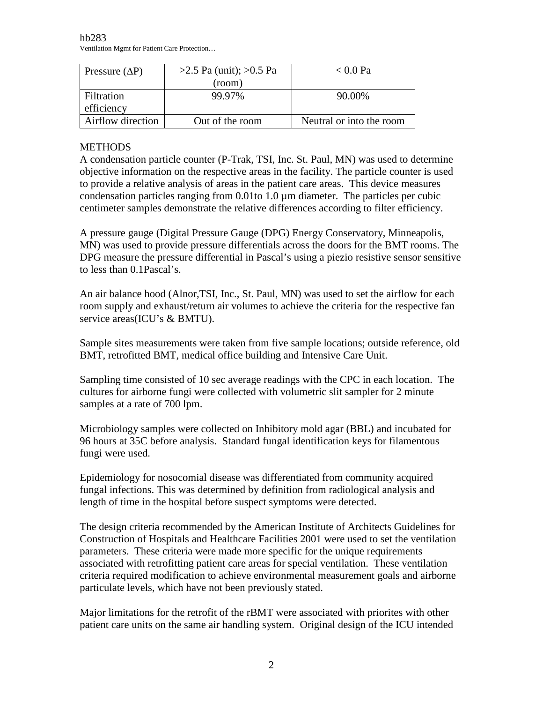hb283 Ventilation Mgmt for Patient Care Protection…

| Pressure $(\Delta P)$ | $>2.5$ Pa (unit); $>0.5$ Pa | $< 0.0$ Pa               |
|-----------------------|-----------------------------|--------------------------|
|                       | (room)                      |                          |
| Filtration            | 99.97%                      | 90.00%                   |
| efficiency            |                             |                          |
| Airflow direction     | Out of the room             | Neutral or into the room |

# **METHODS**

A condensation particle counter (P-Trak, TSI, Inc. St. Paul, MN) was used to determine objective information on the respective areas in the facility. The particle counter is used to provide a relative analysis of areas in the patient care areas. This device measures condensation particles ranging from  $0.01$  to  $1.0 \mu$ m diameter. The particles per cubic centimeter samples demonstrate the relative differences according to filter efficiency.

A pressure gauge (Digital Pressure Gauge (DPG) Energy Conservatory, Minneapolis, MN) was used to provide pressure differentials across the doors for the BMT rooms. The DPG measure the pressure differential in Pascal's using a piezio resistive sensor sensitive to less than 0.1Pascal's.

An air balance hood (Alnor,TSI, Inc., St. Paul, MN) was used to set the airflow for each room supply and exhaust/return air volumes to achieve the criteria for the respective fan service areas(ICU's & BMTU).

Sample sites measurements were taken from five sample locations; outside reference, old BMT, retrofitted BMT, medical office building and Intensive Care Unit.

Sampling time consisted of 10 sec average readings with the CPC in each location. The cultures for airborne fungi were collected with volumetric slit sampler for 2 minute samples at a rate of 700 lpm.

Microbiology samples were collected on Inhibitory mold agar (BBL) and incubated for 96 hours at 35C before analysis. Standard fungal identification keys for filamentous fungi were used.

Epidemiology for nosocomial disease was differentiated from community acquired fungal infections. This was determined by definition from radiological analysis and length of time in the hospital before suspect symptoms were detected.

The design criteria recommended by the American Institute of Architects Guidelines for Construction of Hospitals and Healthcare Facilities 2001 were used to set the ventilation parameters. These criteria were made more specific for the unique requirements associated with retrofitting patient care areas for special ventilation. These ventilation criteria required modification to achieve environmental measurement goals and airborne particulate levels, which have not been previously stated.

Major limitations for the retrofit of the rBMT were associated with priorites with other patient care units on the same air handling system. Original design of the ICU intended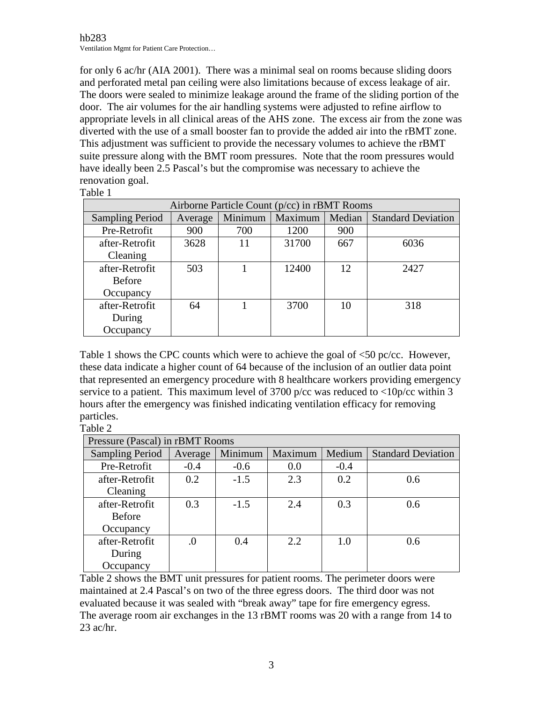for only 6 ac/hr (AIA 2001). There was a minimal seal on rooms because sliding doors and perforated metal pan ceiling were also limitations because of excess leakage of air. The doors were sealed to minimize leakage around the frame of the sliding portion of the door. The air volumes for the air handling systems were adjusted to refine airflow to appropriate levels in all clinical areas of the AHS zone. The excess air from the zone was diverted with the use of a small booster fan to provide the added air into the rBMT zone. This adjustment was sufficient to provide the necessary volumes to achieve the rBMT suite pressure along with the BMT room pressures. Note that the room pressures would have ideally been 2.5 Pascal's but the compromise was necessary to achieve the renovation goal.

Table 1

| Airborne Particle Count $(p/cc)$ in rBMT Rooms |         |         |         |        |                           |  |
|------------------------------------------------|---------|---------|---------|--------|---------------------------|--|
| <b>Sampling Period</b>                         | Average | Minimum | Maximum | Median | <b>Standard Deviation</b> |  |
| Pre-Retrofit                                   | 900     | 700     | 1200    | 900    |                           |  |
| after-Retrofit                                 | 3628    | 11      | 31700   | 667    | 6036                      |  |
| Cleaning                                       |         |         |         |        |                           |  |
| after-Retrofit                                 | 503     |         | 12400   | 12     | 2427                      |  |
| <b>Before</b>                                  |         |         |         |        |                           |  |
| Occupancy                                      |         |         |         |        |                           |  |
| after-Retrofit                                 | 64      |         | 3700    | 10     | 318                       |  |
| During                                         |         |         |         |        |                           |  |
| Occupancy                                      |         |         |         |        |                           |  |

Table 1 shows the CPC counts which were to achieve the goal of <50 pc/cc. However, these data indicate a higher count of 64 because of the inclusion of an outlier data point that represented an emergency procedure with 8 healthcare workers providing emergency service to a patient. This maximum level of 3700 p/cc was reduced to  $\langle 10p/cc \text{ within } 3 \rangle$ hours after the emergency was finished indicating ventilation efficacy for removing particles.

Table 2

| Pressure (Pascal) in rBMT Rooms |         |         |         |        |                           |
|---------------------------------|---------|---------|---------|--------|---------------------------|
| <b>Sampling Period</b>          | Average | Minimum | Maximum | Medium | <b>Standard Deviation</b> |
| Pre-Retrofit                    | $-0.4$  | $-0.6$  | 0.0     | $-0.4$ |                           |
| after-Retrofit                  | 0.2     | $-1.5$  | 2.3     | 0.2    | 0.6                       |
| Cleaning                        |         |         |         |        |                           |
| after-Retrofit                  | 0.3     | $-1.5$  | 2.4     | 0.3    | 0.6                       |
| <b>Before</b>                   |         |         |         |        |                           |
| Occupancy                       |         |         |         |        |                           |
| after-Retrofit                  | .0      | 0.4     | 2.2     | 1.0    | 0.6                       |
| During                          |         |         |         |        |                           |
| Occupancy                       |         |         |         |        |                           |

Table 2 shows the BMT unit pressures for patient rooms. The perimeter doors were maintained at 2.4 Pascal's on two of the three egress doors. The third door was not evaluated because it was sealed with "break away" tape for fire emergency egress. The average room air exchanges in the 13 rBMT rooms was 20 with a range from 14 to 23 ac/hr.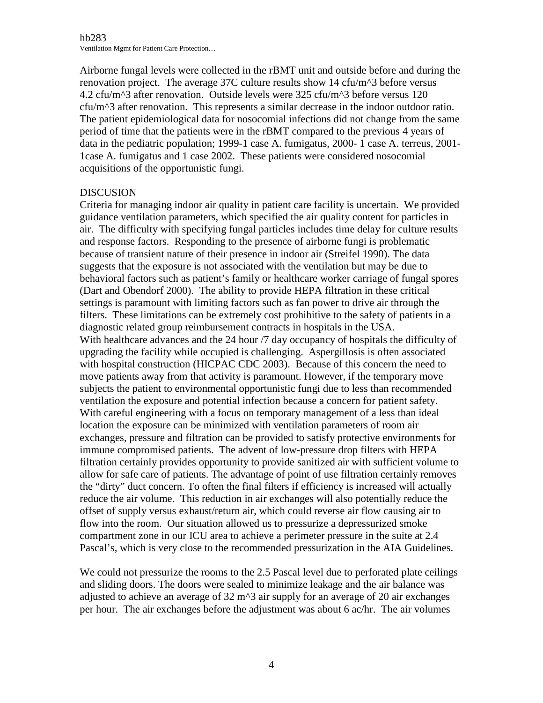Airborne fungal levels were collected in the rBMT unit and outside before and during the renovation project. The average 37C culture results show 14 cfu/m^3 before versus 4.2 cfu/m^3 after renovation. Outside levels were 325 cfu/m^3 before versus 120 cfu/m^3 after renovation. This represents a similar decrease in the indoor outdoor ratio. The patient epidemiological data for nosocomial infections did not change from the same period of time that the patients were in the rBMT compared to the previous 4 years of data in the pediatric population; 1999-1 case A. fumigatus, 2000- 1 case A. terreus, 2001- 1case A. fumigatus and 1 case 2002. These patients were considered nosocomial acquisitions of the opportunistic fungi.

### DISCUSION

Criteria for managing indoor air quality in patient care facility is uncertain. We provided guidance ventilation parameters, which specified the air quality content for particles in air. The difficulty with specifying fungal particles includes time delay for culture results and response factors. Responding to the presence of airborne fungi is problematic because of transient nature of their presence in indoor air (Streifel 1990). The data suggests that the exposure is not associated with the ventilation but may be due to behavioral factors such as patient's family or healthcare worker carriage of fungal spores (Dart and Obendorf 2000). The ability to provide HEPA filtration in these critical settings is paramount with limiting factors such as fan power to drive air through the filters. These limitations can be extremely cost prohibitive to the safety of patients in a diagnostic related group reimbursement contracts in hospitals in the USA. With healthcare advances and the 24 hour  $\frac{7}{4}$  day occupancy of hospitals the difficulty of upgrading the facility while occupied is challenging. Aspergillosis is often associated with hospital construction (HICPAC CDC 2003). Because of this concern the need to move patients away from that activity is paramount. However, if the temporary move subjects the patient to environmental opportunistic fungi due to less than recommended ventilation the exposure and potential infection because a concern for patient safety. With careful engineering with a focus on temporary management of a less than ideal location the exposure can be minimized with ventilation parameters of room air exchanges, pressure and filtration can be provided to satisfy protective environments for immune compromised patients. The advent of low-pressure drop filters with HEPA filtration certainly provides opportunity to provide sanitized air with sufficient volume to allow for safe care of patients. The advantage of point of use filtration certainly removes the "dirty" duct concern. To often the final filters if efficiency is increased will actually reduce the air volume. This reduction in air exchanges will also potentially reduce the offset of supply versus exhaust/return air, which could reverse air flow causing air to flow into the room. Our situation allowed us to pressurize a depressurized smoke compartment zone in our ICU area to achieve a perimeter pressure in the suite at 2.4 Pascal's, which is very close to the recommended pressurization in the AIA Guidelines.

We could not pressurize the rooms to the 2.5 Pascal level due to perforated plate ceilings and sliding doors. The doors were sealed to minimize leakage and the air balance was adjusted to achieve an average of  $32 \text{ m}^{\prime}$  air supply for an average of 20 air exchanges per hour. The air exchanges before the adjustment was about 6 ac/hr. The air volumes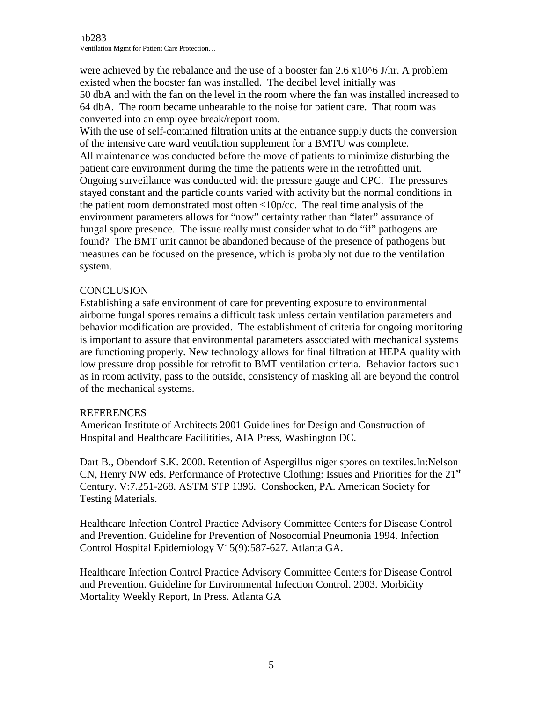were achieved by the rebalance and the use of a booster fan  $2.6 \times 10^{6}$  J/hr. A problem existed when the booster fan was installed. The decibel level initially was 50 dbA and with the fan on the level in the room where the fan was installed increased to 64 dbA. The room became unbearable to the noise for patient care. That room was converted into an employee break/report room.

With the use of self-contained filtration units at the entrance supply ducts the conversion of the intensive care ward ventilation supplement for a BMTU was complete. All maintenance was conducted before the move of patients to minimize disturbing the patient care environment during the time the patients were in the retrofitted unit. Ongoing surveillance was conducted with the pressure gauge and CPC. The pressures stayed constant and the particle counts varied with activity but the normal conditions in the patient room demonstrated most often <10p/cc. The real time analysis of the environment parameters allows for "now" certainty rather than "later" assurance of fungal spore presence. The issue really must consider what to do "if" pathogens are found? The BMT unit cannot be abandoned because of the presence of pathogens but measures can be focused on the presence, which is probably not due to the ventilation system.

## **CONCLUSION**

Establishing a safe environment of care for preventing exposure to environmental airborne fungal spores remains a difficult task unless certain ventilation parameters and behavior modification are provided. The establishment of criteria for ongoing monitoring is important to assure that environmental parameters associated with mechanical systems are functioning properly. New technology allows for final filtration at HEPA quality with low pressure drop possible for retrofit to BMT ventilation criteria. Behavior factors such as in room activity, pass to the outside, consistency of masking all are beyond the control of the mechanical systems.

### REFERENCES

American Institute of Architects 2001 Guidelines for Design and Construction of Hospital and Healthcare Facilitities, AIA Press, Washington DC.

Dart B., Obendorf S.K. 2000. Retention of Aspergillus niger spores on textiles.In:Nelson CN, Henry NW eds. Performance of Protective Clothing: Issues and Priorities for the 21<sup>st</sup> Century. V:7.251-268. ASTM STP 1396. Conshocken, PA. American Society for Testing Materials.

Healthcare Infection Control Practice Advisory Committee Centers for Disease Control and Prevention. Guideline for Prevention of Nosocomial Pneumonia 1994. Infection Control Hospital Epidemiology V15(9):587-627. Atlanta GA.

Healthcare Infection Control Practice Advisory Committee Centers for Disease Control and Prevention. Guideline for Environmental Infection Control. 2003. Morbidity Mortality Weekly Report, In Press. Atlanta GA